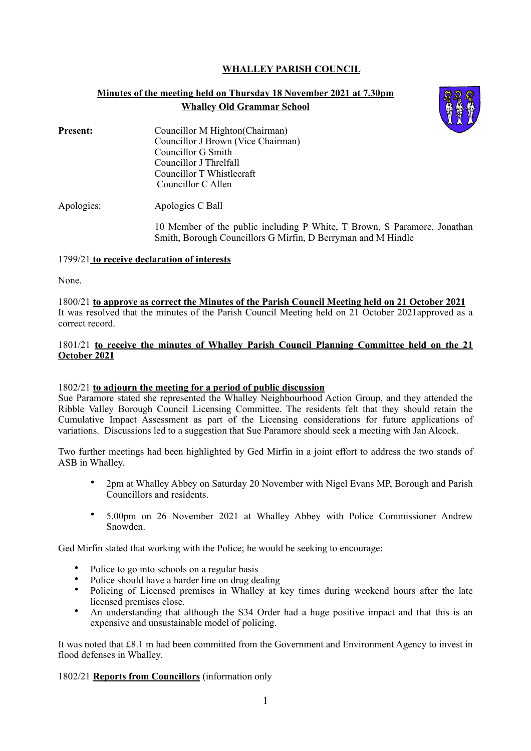# **WHALLEY PARISH COUNCIL**

# **Minutes of the meeting held on Thursday 18 November 2021 at 7.30pm Whalley Old Grammar School**



**Present:** Councillor M Highton(Chairman) Councillor J Brown (Vice Chairman) Councillor G Smith Councillor J Threlfall Councillor T Whistlecraft Councillor C Allen

Apologies: Apologies C Ball

10 Member of the public including P White, T Brown, S Paramore, Jonathan Smith, Borough Councillors G Mirfin, D Berryman and M Hindle

#### 1799/21 **to receive declaration of interests**

None.

1800/21 **to approve as correct the Minutes of the Parish Council Meeting held on 21 October 2021**  It was resolved that the minutes of the Parish Council Meeting held on 21 October 2021approved as a correct record.

## 1801/21 **to receive the minutes of Whalley Parish Council Planning Committee held on the 21 October 2021**

## 1802/21 **to adjourn the meeting for a period of public discussion**

Sue Paramore stated she represented the Whalley Neighbourhood Action Group, and they attended the Ribble Valley Borough Council Licensing Committee. The residents felt that they should retain the Cumulative Impact Assessment as part of the Licensing considerations for future applications of variations. Discussions led to a suggestion that Sue Paramore should seek a meeting with Jan Alcock.

Two further meetings had been highlighted by Ged Mirfin in a joint effort to address the two stands of ASB in Whalley.

- 2pm at Whalley Abbey on Saturday 20 November with Nigel Evans MP, Borough and Parish Councillors and residents.
- 5.00pm on 26 November 2021 at Whalley Abbey with Police Commissioner Andrew Snowden.

Ged Mirfin stated that working with the Police; he would be seeking to encourage:

- Police to go into schools on a regular basis
- Police should have a harder line on drug dealing
- Policing of Licensed premises in Whalley at key times during weekend hours after the late licensed premises close.
- An understanding that although the S34 Order had a huge positive impact and that this is an expensive and unsustainable model of policing.

It was noted that £8.1 m had been committed from the Government and Environment Agency to invest in flood defenses in Whalley.

1802/21 **Reports from Councillors** (information only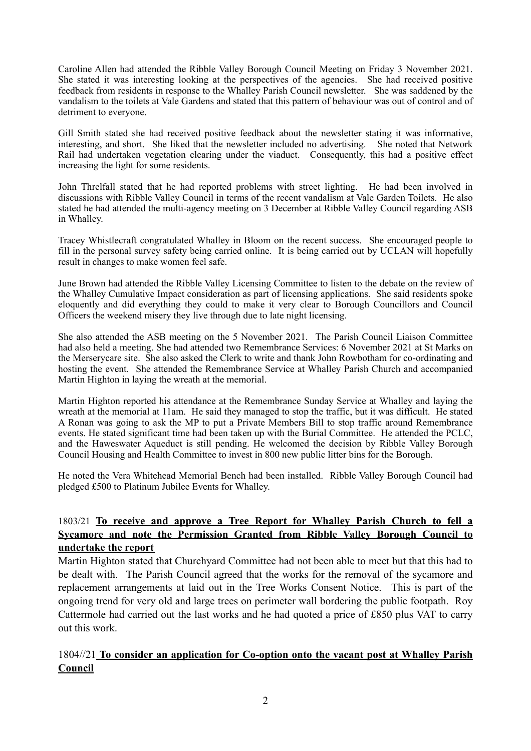Caroline Allen had attended the Ribble Valley Borough Council Meeting on Friday 3 November 2021. She stated it was interesting looking at the perspectives of the agencies. She had received positive feedback from residents in response to the Whalley Parish Council newsletter. She was saddened by the vandalism to the toilets at Vale Gardens and stated that this pattern of behaviour was out of control and of detriment to everyone.

Gill Smith stated she had received positive feedback about the newsletter stating it was informative, interesting, and short. She liked that the newsletter included no advertising. She noted that Network Rail had undertaken vegetation clearing under the viaduct. Consequently, this had a positive effect increasing the light for some residents.

John Threlfall stated that he had reported problems with street lighting. He had been involved in discussions with Ribble Valley Council in terms of the recent vandalism at Vale Garden Toilets. He also stated he had attended the multi-agency meeting on 3 December at Ribble Valley Council regarding ASB in Whalley.

Tracey Whistlecraft congratulated Whalley in Bloom on the recent success. She encouraged people to fill in the personal survey safety being carried online. It is being carried out by UCLAN will hopefully result in changes to make women feel safe.

June Brown had attended the Ribble Valley Licensing Committee to listen to the debate on the review of the Whalley Cumulative Impact consideration as part of licensing applications. She said residents spoke eloquently and did everything they could to make it very clear to Borough Councillors and Council Officers the weekend misery they live through due to late night licensing.

She also attended the ASB meeting on the 5 November 2021. The Parish Council Liaison Committee had also held a meeting. She had attended two Remembrance Services: 6 November 2021 at St Marks on the Merserycare site. She also asked the Clerk to write and thank John Rowbotham for co-ordinating and hosting the event. She attended the Remembrance Service at Whalley Parish Church and accompanied Martin Highton in laying the wreath at the memorial.

Martin Highton reported his attendance at the Remembrance Sunday Service at Whalley and laying the wreath at the memorial at 11am. He said they managed to stop the traffic, but it was difficult. He stated A Ronan was going to ask the MP to put a Private Members Bill to stop traffic around Remembrance events. He stated significant time had been taken up with the Burial Committee. He attended the PCLC, and the Haweswater Aqueduct is still pending. He welcomed the decision by Ribble Valley Borough Council Housing and Health Committee to invest in 800 new public litter bins for the Borough.

He noted the Vera Whitehead Memorial Bench had been installed. Ribble Valley Borough Council had pledged £500 to Platinum Jubilee Events for Whalley.

# 1803/21 **To receive and approve a Tree Report for Whalley Parish Church to fell a Sycamore and note the Permission Granted from Ribble Valley Borough Council to undertake the report**

Martin Highton stated that Churchyard Committee had not been able to meet but that this had to be dealt with. The Parish Council agreed that the works for the removal of the sycamore and replacement arrangements at laid out in the Tree Works Consent Notice. This is part of the ongoing trend for very old and large trees on perimeter wall bordering the public footpath. Roy Cattermole had carried out the last works and he had quoted a price of £850 plus VAT to carry out this work.

# 1804//21 **To consider an application for Co-option onto the vacant post at Whalley Parish Council**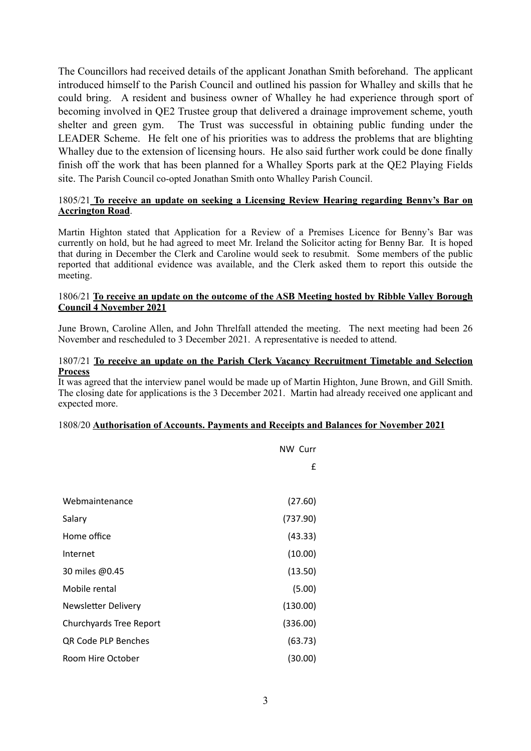The Councillors had received details of the applicant Jonathan Smith beforehand. The applicant introduced himself to the Parish Council and outlined his passion for Whalley and skills that he could bring. A resident and business owner of Whalley he had experience through sport of becoming involved in QE2 Trustee group that delivered a drainage improvement scheme, youth shelter and green gym. The Trust was successful in obtaining public funding under the LEADER Scheme. He felt one of his priorities was to address the problems that are blighting Whalley due to the extension of licensing hours. He also said further work could be done finally finish off the work that has been planned for a Whalley Sports park at the QE2 Playing Fields site. The Parish Council co-opted Jonathan Smith onto Whalley Parish Council.

## 1805/21 **To receive an update on seeking a Licensing Review Hearing regarding Benny's Bar on Accrington Road**.

Martin Highton stated that Application for a Review of a Premises Licence for Benny's Bar was currently on hold, but he had agreed to meet Mr. Ireland the Solicitor acting for Benny Bar. It is hoped that during in December the Clerk and Caroline would seek to resubmit. Some members of the public reported that additional evidence was available, and the Clerk asked them to report this outside the meeting.

#### 1806/21 **To receive an update on the outcome of the ASB Meeting hosted by Ribble Valley Borough Council 4 November 2021**

June Brown, Caroline Allen, and John Threlfall attended the meeting. The next meeting had been 26 November and rescheduled to 3 December 2021. A representative is needed to attend.

#### 1807/21 **To receive an update on the Parish Clerk Vacancy Recruitment Timetable and Selection Process**

It was agreed that the interview panel would be made up of Martin Highton, June Brown, and Gill Smith. The closing date for applications is the 3 December 2021. Martin had already received one applicant and expected more.

## 1808/20 **Authorisation of Accounts. Payments and Receipts and Balances for November 2021**

|                            | <b>NW Curr</b> |
|----------------------------|----------------|
|                            | £              |
|                            |                |
| Webmaintenance             | (27.60)        |
| Salary                     | (737.90)       |
| Home office                | (43.33)        |
| Internet                   | (10.00)        |
| 30 miles @0.45             | (13.50)        |
| Mobile rental              | (5.00)         |
| <b>Newsletter Delivery</b> | (130.00)       |
| Churchyards Tree Report    | (336.00)       |
| QR Code PLP Benches        | (63.73)        |
| Room Hire October          | (30.00)        |